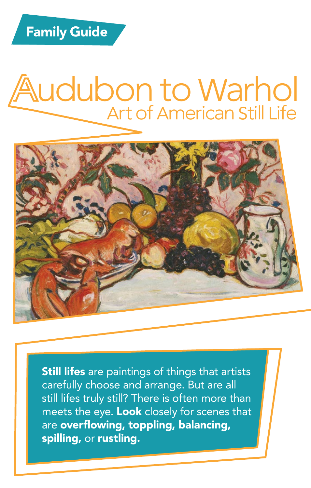#### Audubon to Warhol Art of American Still Life



**Still lifes** are paintings of things that artists carefully choose and arrange. But are all still lifes truly still? There is often more than meets the eye. Look closely for scenes that are overflowing, toppling, balancing, spilling, or rustling.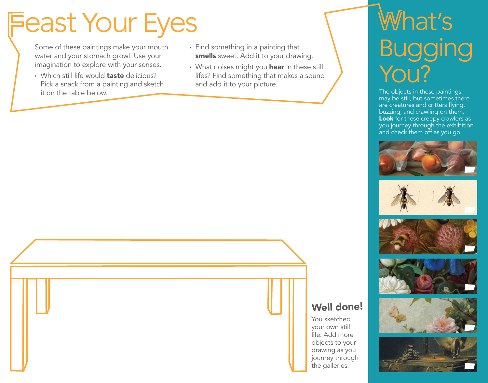### Feast Your Eyes

Some of these paintings make your mouth water and your stomach growl. Use your imagination to explore with your senses.

- Which still life would **taste** delicious? Pick a snack from a painting and sketch it on the table below.
- Find something in a painting that smells sweet. Add it to your drawing.
- What noises might you hear in these still lifes? Find something that makes a sound and add it to your picture.

### What's Bugging You?

The objects in these paintings may be still, but sometimes there are creatures and critters flying, buzzing, and crawling on them. Look for these creepy crawlers as you journey through the exhibition and check them off as you go.









#### Well done!

You sketched your own still life. Add more objects to your drawing as you journey through the galleries.